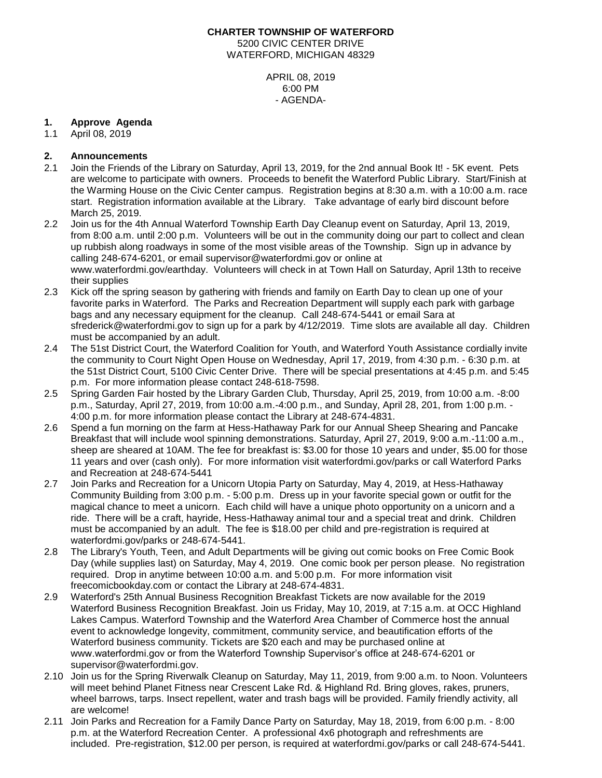# **CHARTER TOWNSHIP OF WATERFORD** 5200 CIVIC CENTER DRIVE WATERFORD, MICHIGAN 48329

APRIL 08, 2019 6:00 PM - AGENDA-

## **1. Approve Agenda**

1.1 April 08, 2019

## **2. Announcements**

- 2.1 Join the Friends of the Library on Saturday, April 13, 2019, for the 2nd annual Book It! 5K event. Pets are welcome to participate with owners. Proceeds to benefit the Waterford Public Library. Start/Finish at the Warming House on the Civic Center campus. Registration begins at 8:30 a.m. with a 10:00 a.m. race start. Registration information available at the Library. Take advantage of early bird discount before March 25, 2019.
- 2.2 Join us for the 4th Annual Waterford Township Earth Day Cleanup event on Saturday, April 13, 2019, from 8:00 a.m. until 2:00 p.m. Volunteers will be out in the community doing our part to collect and clean up rubbish along roadways in some of the most visible areas of the Township. Sign up in advance by calling 248-674-6201, or email supervisor@waterfordmi.gov or online at www.waterfordmi.gov/earthday. Volunteers will check in at Town Hall on Saturday, April 13th to receive their supplies
- 2.3 Kick off the spring season by gathering with friends and family on Earth Day to clean up one of your favorite parks in Waterford. The Parks and Recreation Department will supply each park with garbage bags and any necessary equipment for the cleanup. Call 248-674-5441 or email Sara at sfrederick@waterfordmi.gov to sign up for a park by 4/12/2019. Time slots are available all day. Children must be accompanied by an adult.
- 2.4 The 51st District Court, the Waterford Coalition for Youth, and Waterford Youth Assistance cordially invite the community to Court Night Open House on Wednesday, April 17, 2019, from 4:30 p.m. - 6:30 p.m. at the 51st District Court, 5100 Civic Center Drive. There will be special presentations at 4:45 p.m. and 5:45 p.m. For more information please contact 248-618-7598.
- 2.5 Spring Garden Fair hosted by the Library Garden Club, Thursday, April 25, 2019, from 10:00 a.m. -8:00 p.m., Saturday, April 27, 2019, from 10:00 a.m.-4:00 p.m., and Sunday, April 28, 201, from 1:00 p.m. - 4:00 p.m. for more information please contact the Library at 248-674-4831.
- 2.6 Spend a fun morning on the farm at Hess-Hathaway Park for our Annual Sheep Shearing and Pancake Breakfast that will include wool spinning demonstrations. Saturday, April 27, 2019, 9:00 a.m.-11:00 a.m., sheep are sheared at 10AM. The fee for breakfast is: \$3.00 for those 10 years and under, \$5.00 for those 11 years and over (cash only). For more information visit waterfordmi.gov/parks or call Waterford Parks and Recreation at 248-674-5441
- 2.7 Join Parks and Recreation for a Unicorn Utopia Party on Saturday, May 4, 2019, at Hess-Hathaway Community Building from 3:00 p.m. - 5:00 p.m. Dress up in your favorite special gown or outfit for the magical chance to meet a unicorn. Each child will have a unique photo opportunity on a unicorn and a ride. There will be a craft, hayride, Hess-Hathaway animal tour and a special treat and drink. Children must be accompanied by an adult. The fee is \$18.00 per child and pre-registration is required at waterfordmi.gov/parks or 248-674-5441.
- 2.8 The Library's Youth, Teen, and Adult Departments will be giving out comic books on Free Comic Book Day (while supplies last) on Saturday, May 4, 2019. One comic book per person please. No registration required. Drop in anytime between 10:00 a.m. and 5:00 p.m. For more information visit freecomicbookday.com or contact the Library at 248-674-4831.
- 2.9 Waterford's 25th Annual Business Recognition Breakfast Tickets are now available for the 2019 Waterford Business Recognition Breakfast. Join us Friday, May 10, 2019, at 7:15 a.m. at OCC Highland Lakes Campus. Waterford Township and the Waterford Area Chamber of Commerce host the annual event to acknowledge longevity, commitment, community service, and beautification efforts of the Waterford business community. Tickets are \$20 each and may be purchased online at www.waterfordmi.gov or from the Waterford Township Supervisor's office at 248-674-6201 or [supervisor@waterfordmi.gov.](mailto:supervisor@waterfordmi.gov)
- 2.10 Join us for the Spring Riverwalk Cleanup on Saturday, May 11, 2019, from 9:00 a.m. to Noon. Volunteers will meet behind Planet Fitness near Crescent Lake Rd. & Highland Rd. Bring gloves, rakes, pruners, wheel barrows, tarps. Insect repellent, water and trash bags will be provided. Family friendly activity, all are welcome!
- 2.11 Join Parks and Recreation for a Family Dance Party on Saturday, May 18, 2019, from 6:00 p.m. 8:00 p.m. at the Waterford Recreation Center. A professional 4x6 photograph and refreshments are included. Pre-registration, \$12.00 per person, is required at waterfordmi.gov/parks or call 248-674-5441.